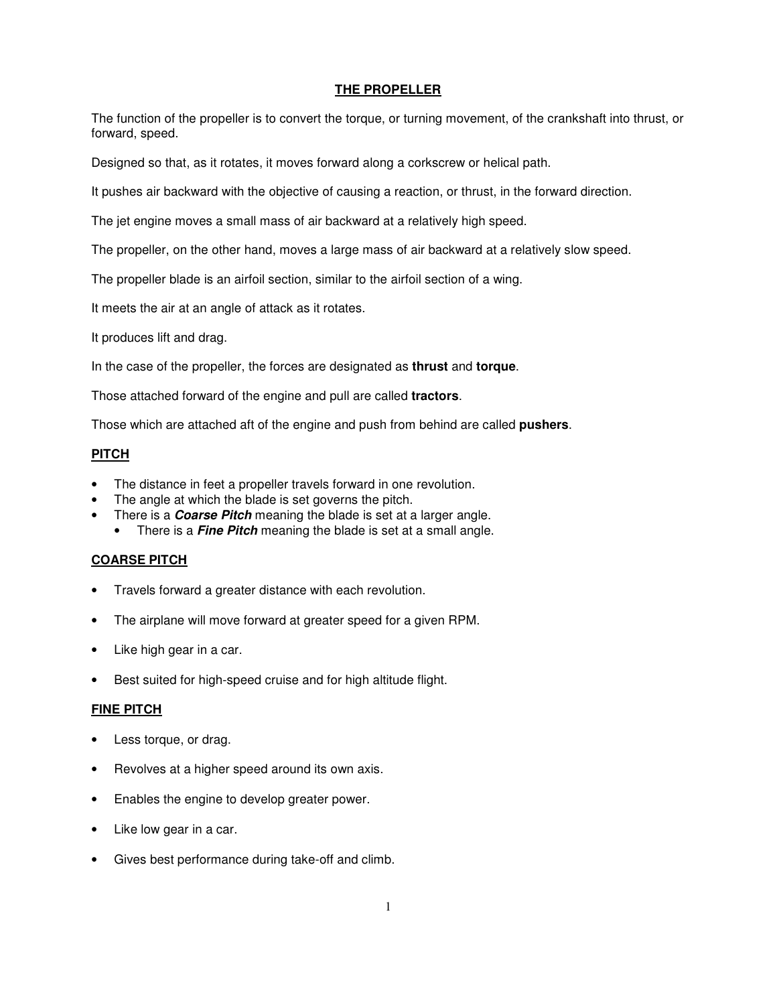## **THE PROPELLER**

The function of the propeller is to convert the torque, or turning movement, of the crankshaft into thrust, or forward, speed.

Designed so that, as it rotates, it moves forward along a corkscrew or helical path.

It pushes air backward with the objective of causing a reaction, or thrust, in the forward direction.

The jet engine moves a small mass of air backward at a relatively high speed.

The propeller, on the other hand, moves a large mass of air backward at a relatively slow speed.

The propeller blade is an airfoil section, similar to the airfoil section of a wing.

It meets the air at an angle of attack as it rotates.

It produces lift and drag.

In the case of the propeller, the forces are designated as **thrust** and **torque**.

Those attached forward of the engine and pull are called **tractors**.

Those which are attached aft of the engine and push from behind are called **pushers**.

## **PITCH**

- The distance in feet a propeller travels forward in one revolution.
- The angle at which the blade is set governs the pitch.
- There is a **Coarse Pitch** meaning the blade is set at a larger angle.
- There is a **Fine Pitch** meaning the blade is set at a small angle.

## **COARSE PITCH**

- Travels forward a greater distance with each revolution.
- The airplane will move forward at greater speed for a given RPM.
- Like high gear in a car.
- Best suited for high-speed cruise and for high altitude flight.

#### **FINE PITCH**

- Less torque, or drag.
- Revolves at a higher speed around its own axis.
- Enables the engine to develop greater power.
- Like low gear in a car.
- Gives best performance during take-off and climb.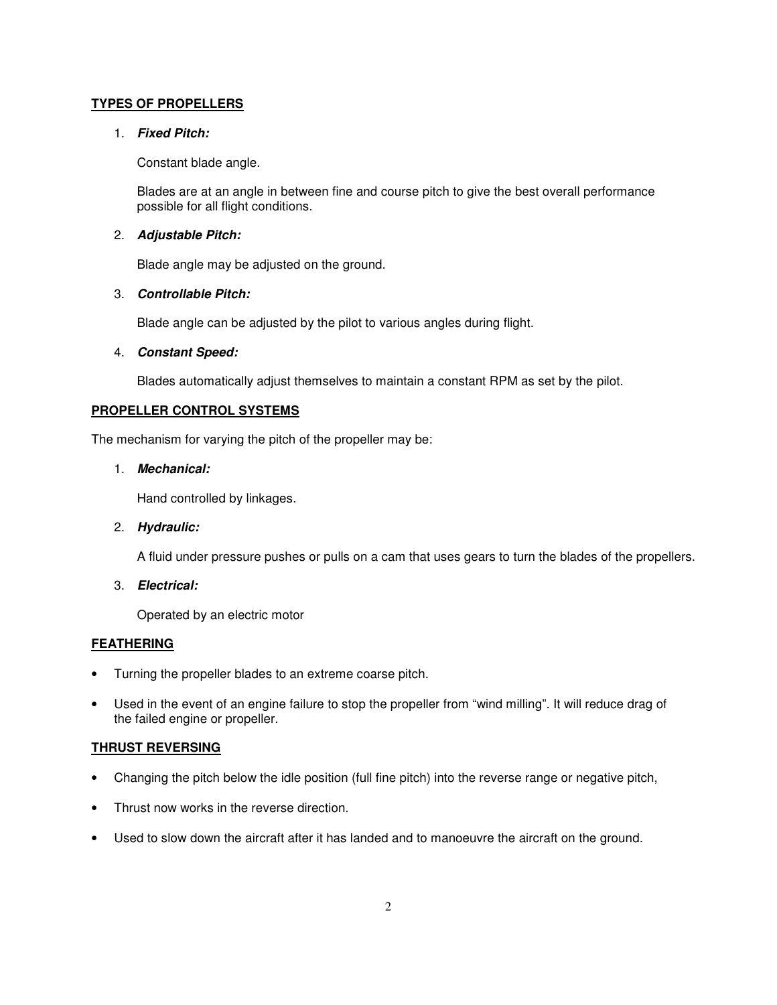## **TYPES OF PROPELLERS**

### 1. **Fixed Pitch:**

Constant blade angle.

Blades are at an angle in between fine and course pitch to give the best overall performance possible for all flight conditions.

## 2. **Adjustable Pitch:**

Blade angle may be adjusted on the ground.

## 3. **Controllable Pitch:**

Blade angle can be adjusted by the pilot to various angles during flight.

## 4. **Constant Speed:**

Blades automatically adjust themselves to maintain a constant RPM as set by the pilot.

## **PROPELLER CONTROL SYSTEMS**

The mechanism for varying the pitch of the propeller may be:

# 1. **Mechanical:**

Hand controlled by linkages.

## 2. **Hydraulic:**

A fluid under pressure pushes or pulls on a cam that uses gears to turn the blades of the propellers.

3. **Electrical:**

Operated by an electric motor

#### **FEATHERING**

- Turning the propeller blades to an extreme coarse pitch.
- Used in the event of an engine failure to stop the propeller from "wind milling". It will reduce drag of the failed engine or propeller.

## **THRUST REVERSING**

- Changing the pitch below the idle position (full fine pitch) into the reverse range or negative pitch,
- Thrust now works in the reverse direction.
- Used to slow down the aircraft after it has landed and to manoeuvre the aircraft on the ground.